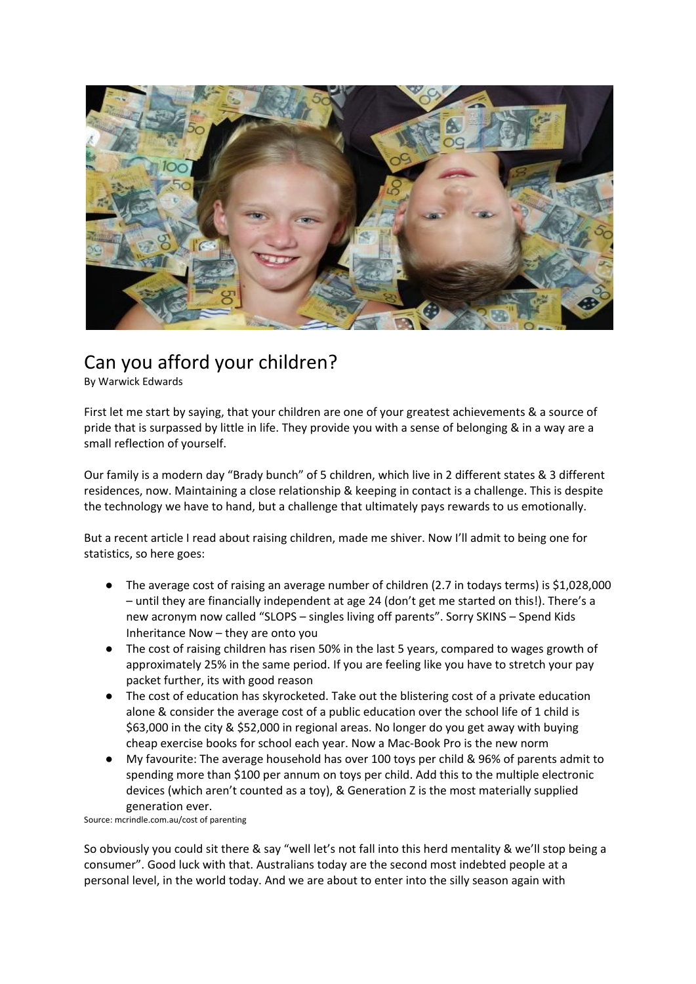

## Can you afford your children?

By Warwick Edwards

First let me start by saying, that your children are one of your greatest achievements & a source of pride that is surpassed by little in life. They provide you with a sense of belonging & in a way are a small reflection of yourself.

Our family is a modern day "Brady bunch" of 5 children, which live in 2 different states & 3 different residences, now. Maintaining a close relationship & keeping in contact is a challenge. This is despite the technology we have to hand, but a challenge that ultimately pays rewards to us emotionally.

But a recent article I read about raising children, made me shiver. Now I'll admit to being one for statistics, so here goes:

- The average cost of raising an average number of children (2.7 in todays terms) is \$1,028,000 – until they are financially independent at age 24 (don't get me started on this!). There's a new acronym now called "SLOPS – singles living off parents". Sorry SKINS – Spend Kids Inheritance Now – they are onto you
- The cost of raising children has risen 50% in the last 5 years, compared to wages growth of approximately 25% in the same period. If you are feeling like you have to stretch your pay packet further, its with good reason
- The cost of education has skyrocketed. Take out the blistering cost of a private education alone & consider the average cost of a public education over the school life of 1 child is \$63,000 in the city & \$52,000 in regional areas. No longer do you get away with buying cheap exercise books for school each year. Now a Mac-Book Pro is the new norm
- My favourite: The average household has over 100 toys per child & 96% of parents admit to spending more than \$100 per annum on toys per child. Add this to the multiple electronic devices (which aren't counted as a toy), & Generation Z is the most materially supplied generation ever.

Source: mcrindle.com.au/cost of parenting

So obviously you could sit there & say "well let's not fall into this herd mentality & we'll stop being a consumer". Good luck with that. Australians today are the second most indebted people at a personal level, in the world today. And we are about to enter into the silly season again with